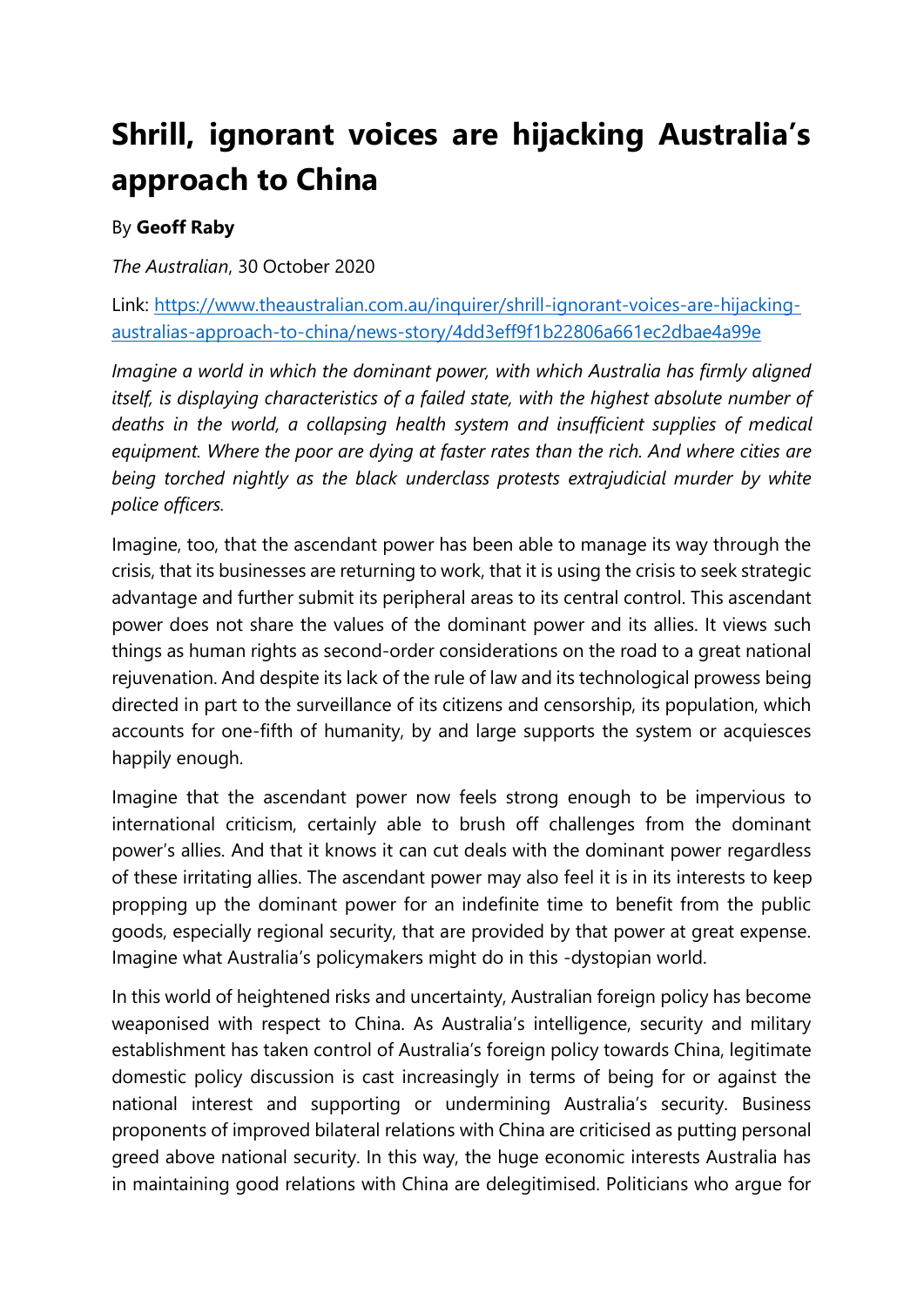## **Shrill, ignorant voices are hijacking Australia's approach to China**

## By **Geoff Raby**

*The Australian*, 30 October 2020

Link: [https://www.theaustralian.com.au/inquirer/shrill-ignorant-voices-are-hijacking](https://www.theaustralian.com.au/inquirer/shrill-ignorant-voices-are-hijacking-australias-approach-to-china/news-story/4dd3eff9f1b22806a661ec2dbae4a99e)[australias-approach-to-china/news-story/4dd3eff9f1b22806a661ec2dbae4a99e](https://www.theaustralian.com.au/inquirer/shrill-ignorant-voices-are-hijacking-australias-approach-to-china/news-story/4dd3eff9f1b22806a661ec2dbae4a99e)

*Imagine a world in which the dominant power, with which Australia has firmly aligned itself, is displaying characteristics of a failed state, with the highest absolute number of deaths in the world, a collapsing health system and insufficient supplies of medical equipment. Where the poor are dying at faster rates than the rich. And where cities are being torched nightly as the black underclass protests extrajudicial murder by white police officers.*

Imagine, too, that the ascendant power has been able to manage its way through the crisis, that its businesses are returning to work, that it is using the crisis to seek strategic advantage and further submit its peripheral areas to its central control. This ascendant power does not share the values of the dominant power and its allies. It views such things as human rights as second-order considerations on the road to a great national rejuvenation. And despite its lack of the rule of law and its technological prowess being directed in part to the surveillance of its citizens and censorship, its population, which accounts for one-fifth of humanity, by and large supports the system or acquiesces happily enough.

Imagine that the ascendant power now feels strong enough to be impervious to international criticism, certainly able to brush off challenges from the dominant power's allies. And that it knows it can cut deals with the dominant power regardless of these irritating allies. The ascendant power may also feel it is in its interests to keep propping up the dominant power for an indefinite time to benefit from the public goods, especially regional security, that are provided by that power at great expense. Imagine what Australia's policymakers might do in this -dystopian world.

In this world of heightened risks and uncertainty, Australian foreign policy has become weaponised with respect to China. As Australia's intelligence, security and military establishment has taken control of Australia's foreign policy towards China, legitimate domestic policy discussion is cast increasingly in terms of being for or against the national interest and supporting or undermining Australia's security. Business proponents of improved bilateral relations with China are criticised as putting personal greed above national security. In this way, the huge economic interests Australia has in maintaining good relations with China are delegitimised. Politicians who argue for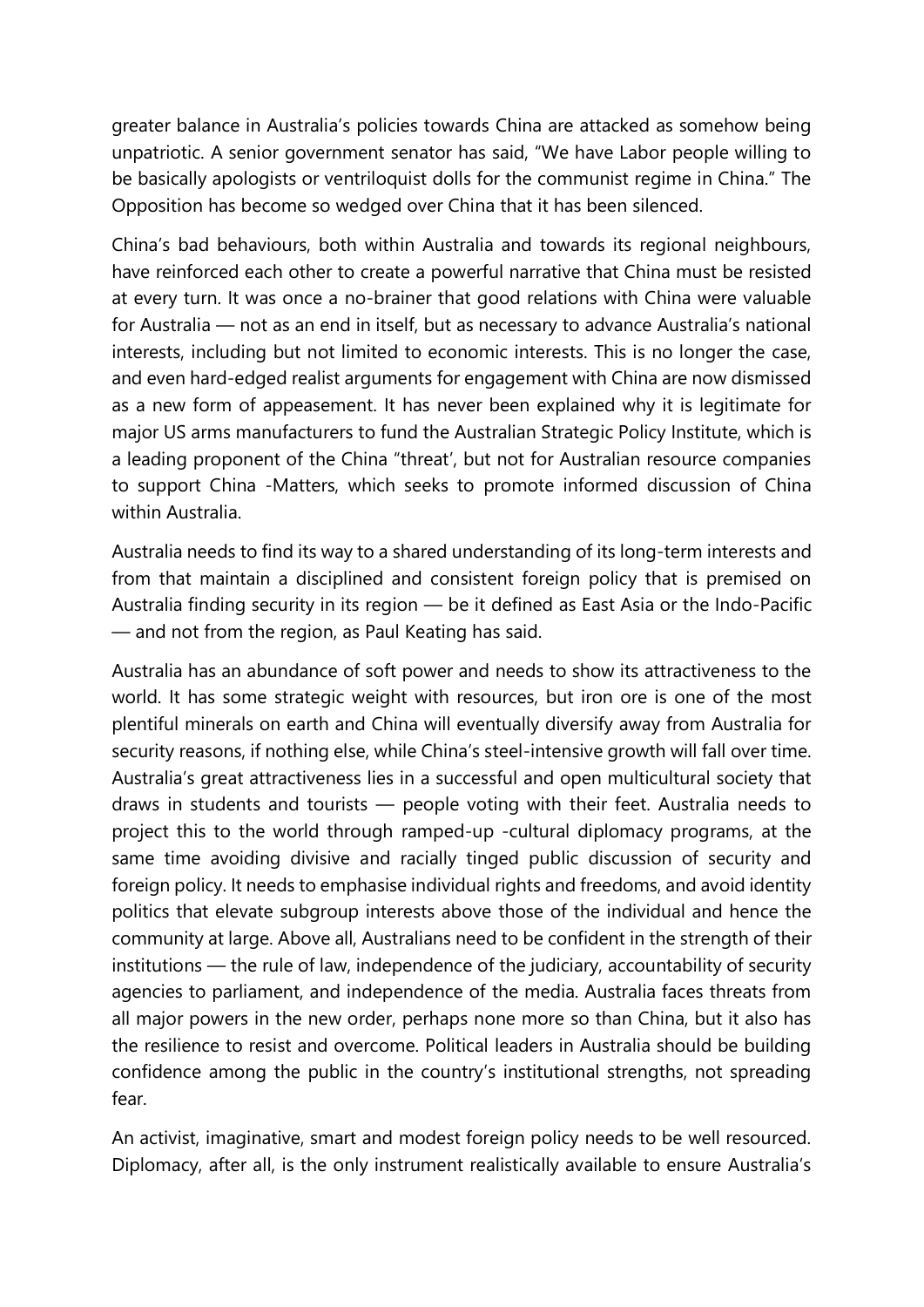greater balance in Australia's policies towards China are attacked as somehow being unpatriotic. A senior government senator has said, "We have Labor people willing to be basically apologists or ventriloquist dolls for the communist regime in China." The Opposition has become so wedged over China that it has been silenced.

China's bad behaviours, both within Australia and towards its regional neighbours, have reinforced each other to create a powerful narrative that China must be resisted at every turn. It was once a no-brainer that good relations with China were valuable for Australia — not as an end in itself, but as necessary to advance Australia's national interests, including but not limited to economic interests. This is no longer the case, and even hard-edged realist arguments for engagement with China are now dismissed as a new form of appeasement. It has never been explained why it is legitimate for major US arms manufacturers to fund the Australian Strategic Policy Institute, which is a leading proponent of the China "threat', but not for Australian resource companies to support China -Matters, which seeks to promote informed discussion of China within Australia.

Australia needs to find its way to a shared understanding of its long-term interests and from that maintain a disciplined and consistent foreign policy that is premised on Australia finding security in its region — be it defined as East Asia or the Indo-Pacific — and not from the region, as Paul Keating has said.

Australia has an abundance of soft power and needs to show its attractiveness to the world. It has some strategic weight with resources, but iron ore is one of the most plentiful minerals on earth and China will eventually diversify away from Australia for security reasons, if nothing else, while China's steel-intensive growth will fall over time. Australia's great attractiveness lies in a successful and open multicultural society that draws in students and tourists — people voting with their feet. Australia needs to project this to the world through ramped-up -cultural diplomacy programs, at the same time avoiding divisive and racially tinged public discussion of security and foreign policy. It needs to emphasise individual rights and freedoms, and avoid identity politics that elevate subgroup interests above those of the individual and hence the community at large. Above all, Australians need to be confident in the strength of their institutions — the rule of law, independence of the judiciary, accountability of security agencies to parliament, and independence of the media. Australia faces threats from all major powers in the new order, perhaps none more so than China, but it also has the resilience to resist and overcome. Political leaders in Australia should be building confidence among the public in the country's institutional strengths, not spreading fear.

An activist, imaginative, smart and modest foreign policy needs to be well resourced. Diplomacy, after all, is the only instrument realistically available to ensure Australia's